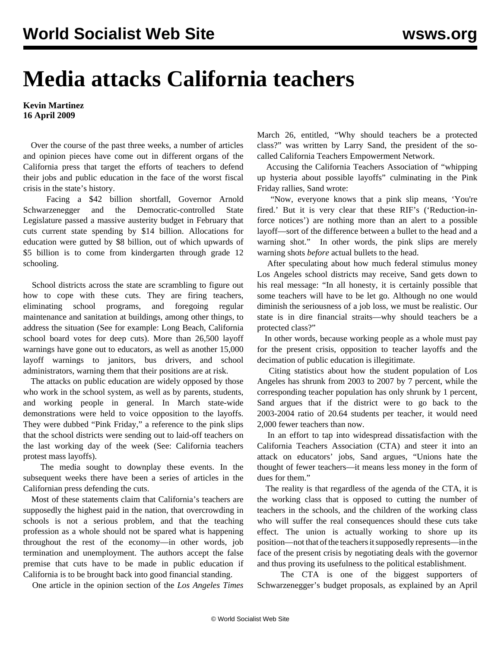## **Media attacks California teachers**

## **Kevin Martinez 16 April 2009**

 Over the course of the past three weeks, a number of articles and opinion pieces have come out in different organs of the California press that target the efforts of teachers to defend their jobs and public education in the face of the worst fiscal crisis in the state's history.

 Facing a \$42 billion shortfall, Governor Arnold Schwarzenegger and the Democratic-controlled State Legislature passed a massive austerity budget in February that cuts current state spending by \$14 billion. Allocations for education were gutted by \$8 billion, out of which upwards of \$5 billion is to come from kindergarten through grade 12 schooling.

 School districts across the state are scrambling to figure out how to cope with these cuts. They are firing teachers, eliminating school programs, and foregoing regular maintenance and sanitation at buildings, among other things, to address the situation (See for example: [Long Beach, California](/en/articles/2009/apr2009/long-a14.shtml) [school board votes for deep cuts](/en/articles/2009/apr2009/long-a14.shtml)). More than 26,500 layoff warnings have gone out to educators, as well as another 15,000 layoff warnings to janitors, bus drivers, and school administrators, warning them that their positions are at risk.

 The attacks on public education are widely opposed by those who work in the school system, as well as by parents, students, and working people in general. In March state-wide demonstrations were held to voice opposition to the layoffs. They were dubbed "Pink Friday," a reference to the pink slips that the school districts were sending out to laid-off teachers on the last working day of the week (See: [California teachers](/en/articles/2009/mar2009/cali-m16.shtml) [protest mass layoffs](/en/articles/2009/mar2009/cali-m16.shtml)).

 The media sought to downplay these events. In the subsequent weeks there have been a series of articles in the Californian press defending the cuts.

 Most of these statements claim that California's teachers are supposedly the highest paid in the nation, that overcrowding in schools is not a serious problem, and that the teaching profession as a whole should not be spared what is happening throughout the rest of the economy—in other words, job termination and unemployment. The authors accept the false premise that cuts have to be made in public education if California is to be brought back into good financial standing.

One article in the opinion section of the *Los Angeles Times*

March 26, entitled, "Why should teachers be a protected class?" was written by Larry Sand, the president of the socalled California Teachers Empowerment Network.

 Accusing the California Teachers Association of "whipping up hysteria about possible layoffs" culminating in the Pink Friday rallies, Sand wrote:

 "Now, everyone knows that a pink slip means, 'You're fired.' But it is very clear that these RIF's ('Reduction-inforce notices') are nothing more than an alert to a possible layoff—sort of the difference between a bullet to the head and a warning shot." In other words, the pink slips are merely warning shots *before* actual bullets to the head.

 After speculating about how much federal stimulus money Los Angeles school districts may receive, Sand gets down to his real message: "In all honesty, it is certainly possible that some teachers will have to be let go. Although no one would diminish the seriousness of a job loss, we must be realistic. Our state is in dire financial straits—why should teachers be a protected class?"

 In other words, because working people as a whole must pay for the present crisis, opposition to teacher layoffs and the decimation of public education is illegitimate.

 Citing statistics about how the student population of Los Angeles has shrunk from 2003 to 2007 by 7 percent, while the corresponding teacher population has only shrunk by 1 percent, Sand argues that if the district were to go back to the 2003-2004 ratio of 20.64 students per teacher, it would need 2,000 fewer teachers than now.

 In an effort to tap into widespread dissatisfaction with the California Teachers Association (CTA) and steer it into an attack on educators' jobs, Sand argues, "Unions hate the thought of fewer teachers—it means less money in the form of dues for them."

The reality is that regardless of the agenda of the CTA, it is the working class that is opposed to cutting the number of teachers in the schools, and the children of the working class who will suffer the real consequences should these cuts take effect. The union is actually working to shore up its position—not that of the teachers it supposedly represents—in the face of the present crisis by negotiating deals with the governor and thus proving its usefulness to the political establishment.

 The CTA is one of the biggest supporters of Schwarzenegger's budget proposals, as explained by an April